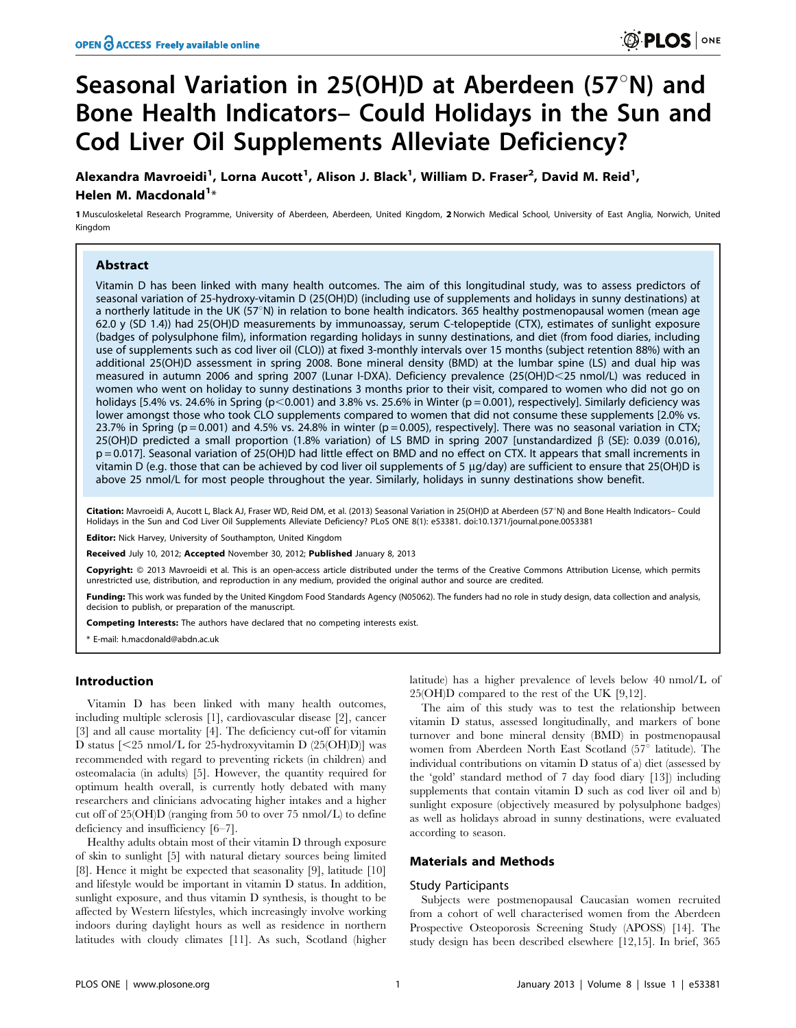# Seasonal Variation in 25(OH)D at Aberdeen (57 $\textdegree$ N) and Bone Health Indicators– Could Holidays in the Sun and Cod Liver Oil Supplements Alleviate Deficiency?

Alexandra Mavroeidi<sup>1</sup>, Lorna Aucott<sup>1</sup>, Alison J. Black<sup>1</sup>, William D. Fraser<sup>2</sup>, David M. Reid<sup>1</sup>, Helen M. Macdonald<sup>1</sup>\*

1 Musculoskeletal Research Programme, University of Aberdeen, Aberdeen, United Kingdom, 2 Norwich Medical School, University of East Anglia, Norwich, United Kingdom

# **Abstract**

Vitamin D has been linked with many health outcomes. The aim of this longitudinal study, was to assess predictors of seasonal variation of 25-hydroxy-vitamin D (25(OH)D) (including use of supplements and holidays in sunny destinations) at a northerly latitude in the UK (57 $\textdegree N$ ) in relation to bone health indicators. 365 healthy postmenopausal women (mean age 62.0 y (SD 1.4)) had 25(OH)D measurements by immunoassay, serum C-telopeptide (CTX), estimates of sunlight exposure (badges of polysulphone film), information regarding holidays in sunny destinations, and diet (from food diaries, including use of supplements such as cod liver oil (CLO)) at fixed 3-monthly intervals over 15 months (subject retention 88%) with an additional 25(OH)D assessment in spring 2008. Bone mineral density (BMD) at the lumbar spine (LS) and dual hip was measured in autumn 2006 and spring 2007 (Lunar I-DXA). Deficiency prevalence (25(OH)D<25 nmol/L) was reduced in women who went on holiday to sunny destinations 3 months prior to their visit, compared to women who did not go on holidays [5.4% vs. 24.6% in Spring (p<0.001) and 3.8% vs. 25.6% in Winter (p = 0.001), respectively]. Similarly deficiency was lower amongst those who took CLO supplements compared to women that did not consume these supplements [2.0% vs. 23.7% in Spring ( $p = 0.001$ ) and 4.5% vs. 24.8% in winter ( $p = 0.005$ ), respectively]. There was no seasonal variation in CTX; 25(OH)D predicted a small proportion (1.8% variation) of LS BMD in spring 2007 [unstandardized  $\beta$  (SE): 0.039 (0.016), p = 0.017]. Seasonal variation of 25(OH)D had little effect on BMD and no effect on CTX. It appears that small increments in vitamin D (e.g. those that can be achieved by cod liver oil supplements of 5 µg/day) are sufficient to ensure that 25(OH)D is above 25 nmol/L for most people throughout the year. Similarly, holidays in sunny destinations show benefit.

Citation: Mavroeidi A, Aucott L, Black AJ, Fraser WD, Reid DM, et al. (2013) Seasonal Variation in 25(OH)D at Aberdeen (57°N) and Bone Health Indicators- Could Holidays in the Sun and Cod Liver Oil Supplements Alleviate Deficiency? PLoS ONE 8(1): e53381. doi:10.1371/journal.pone.0053381

**Editor:** Nick Harvey, University of Southampton, United Kingdom

Received July 10, 2012; Accepted November 30, 2012; Published January 8, 2013

Copyright: © 2013 Mavroeidi et al. This is an open-access article distributed under the terms of the Creative Commons Attribution License, which permits unrestricted use, distribution, and reproduction in any medium, provided the original author and source are credited.

Funding: This work was funded by the United Kingdom Food Standards Agency (N05062). The funders had no role in study design, data collection and analysis, decision to publish, or preparation of the manuscript.

Competing Interests: The authors have declared that no competing interests exist.

\* E-mail: h.macdonald@abdn.ac.uk

# Introduction

Vitamin D has been linked with many health outcomes, including multiple sclerosis [1], cardiovascular disease [2], cancer [3] and all cause mortality [4]. The deficiency cut-off for vitamin D status  $\left[ \langle 25 \text{ nmol/L} \right]$  for 25-hydroxyvitamin D  $\left( 25(OH)D \right)$  was recommended with regard to preventing rickets (in children) and osteomalacia (in adults) [5]. However, the quantity required for optimum health overall, is currently hotly debated with many researchers and clinicians advocating higher intakes and a higher cut off of 25(OH)D (ranging from 50 to over 75 nmol/L) to define deficiency and insufficiency [6–7].

Healthy adults obtain most of their vitamin D through exposure of skin to sunlight [5] with natural dietary sources being limited [8]. Hence it might be expected that seasonality [9], latitude [10] and lifestyle would be important in vitamin D status. In addition, sunlight exposure, and thus vitamin D synthesis, is thought to be affected by Western lifestyles, which increasingly involve working indoors during daylight hours as well as residence in northern latitudes with cloudy climates [11]. As such, Scotland (higher

latitude) has a higher prevalence of levels below 40 nmol/L of 25(OH)D compared to the rest of the UK [9,12].

The aim of this study was to test the relationship between vitamin D status, assessed longitudinally, and markers of bone turnover and bone mineral density (BMD) in postmenopausal women from Aberdeen North East Scotland (57 $\textdegree$  latitude). The individual contributions on vitamin D status of a) diet (assessed by the 'gold' standard method of 7 day food diary [13]) including supplements that contain vitamin D such as cod liver oil and b) sunlight exposure (objectively measured by polysulphone badges) as well as holidays abroad in sunny destinations, were evaluated according to season.

# Materials and Methods

## Study Participants

Subjects were postmenopausal Caucasian women recruited from a cohort of well characterised women from the Aberdeen Prospective Osteoporosis Screening Study (APOSS) [14]. The study design has been described elsewhere [12,15]. In brief, 365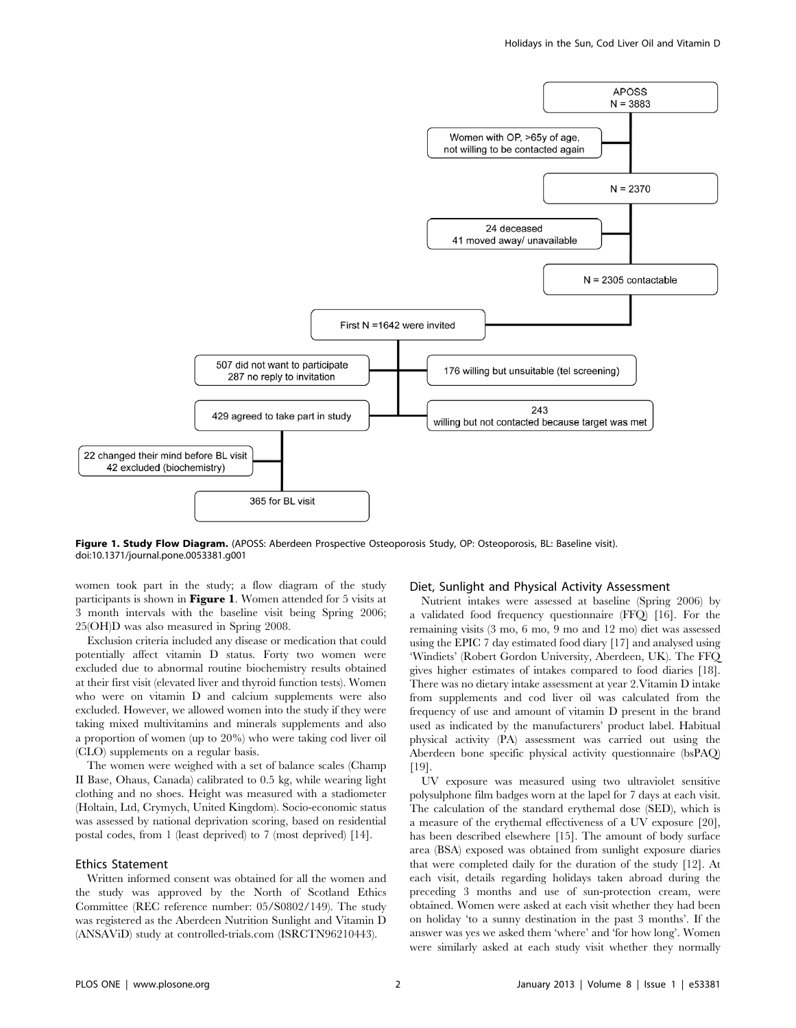

Figure 1. Study Flow Diagram. (APOSS: Aberdeen Prospective Osteoporosis Study, OP: Osteoporosis, BL: Baseline visit). doi:10.1371/journal.pone.0053381.g001

women took part in the study; a flow diagram of the study participants is shown in Figure 1. Women attended for 5 visits at 3 month intervals with the baseline visit being Spring 2006; 25(OH)D was also measured in Spring 2008.

Exclusion criteria included any disease or medication that could potentially affect vitamin D status. Forty two women were excluded due to abnormal routine biochemistry results obtained at their first visit (elevated liver and thyroid function tests). Women who were on vitamin D and calcium supplements were also excluded. However, we allowed women into the study if they were taking mixed multivitamins and minerals supplements and also a proportion of women (up to 20%) who were taking cod liver oil (CLO) supplements on a regular basis.

The women were weighed with a set of balance scales (Champ II Base, Ohaus, Canada) calibrated to 0.5 kg, while wearing light clothing and no shoes. Height was measured with a stadiometer (Holtain, Ltd, Crymych, United Kingdom). Socio-economic status was assessed by national deprivation scoring, based on residential postal codes, from 1 (least deprived) to 7 (most deprived) [14].

# Ethics Statement

Written informed consent was obtained for all the women and the study was approved by the North of Scotland Ethics Committee (REC reference number: 05/S0802/149). The study was registered as the Aberdeen Nutrition Sunlight and Vitamin D (ANSAViD) study at controlled-trials.com (ISRCTN96210443).

## Diet, Sunlight and Physical Activity Assessment

Nutrient intakes were assessed at baseline (Spring 2006) by a validated food frequency questionnaire (FFQ) [16]. For the remaining visits (3 mo, 6 mo, 9 mo and 12 mo) diet was assessed using the EPIC 7 day estimated food diary [17] and analysed using 'Windiets' (Robert Gordon University, Aberdeen, UK). The FFQ gives higher estimates of intakes compared to food diaries [18]. There was no dietary intake assessment at year 2.Vitamin D intake from supplements and cod liver oil was calculated from the frequency of use and amount of vitamin D present in the brand used as indicated by the manufacturers' product label. Habitual physical activity (PA) assessment was carried out using the Aberdeen bone specific physical activity questionnaire (bsPAQ) [19].

UV exposure was measured using two ultraviolet sensitive polysulphone film badges worn at the lapel for 7 days at each visit. The calculation of the standard erythemal dose (SED), which is a measure of the erythemal effectiveness of a UV exposure [20], has been described elsewhere [15]. The amount of body surface area (BSA) exposed was obtained from sunlight exposure diaries that were completed daily for the duration of the study [12]. At each visit, details regarding holidays taken abroad during the preceding 3 months and use of sun-protection cream, were obtained. Women were asked at each visit whether they had been on holiday 'to a sunny destination in the past 3 months'. If the answer was yes we asked them 'where' and 'for how long'. Women were similarly asked at each study visit whether they normally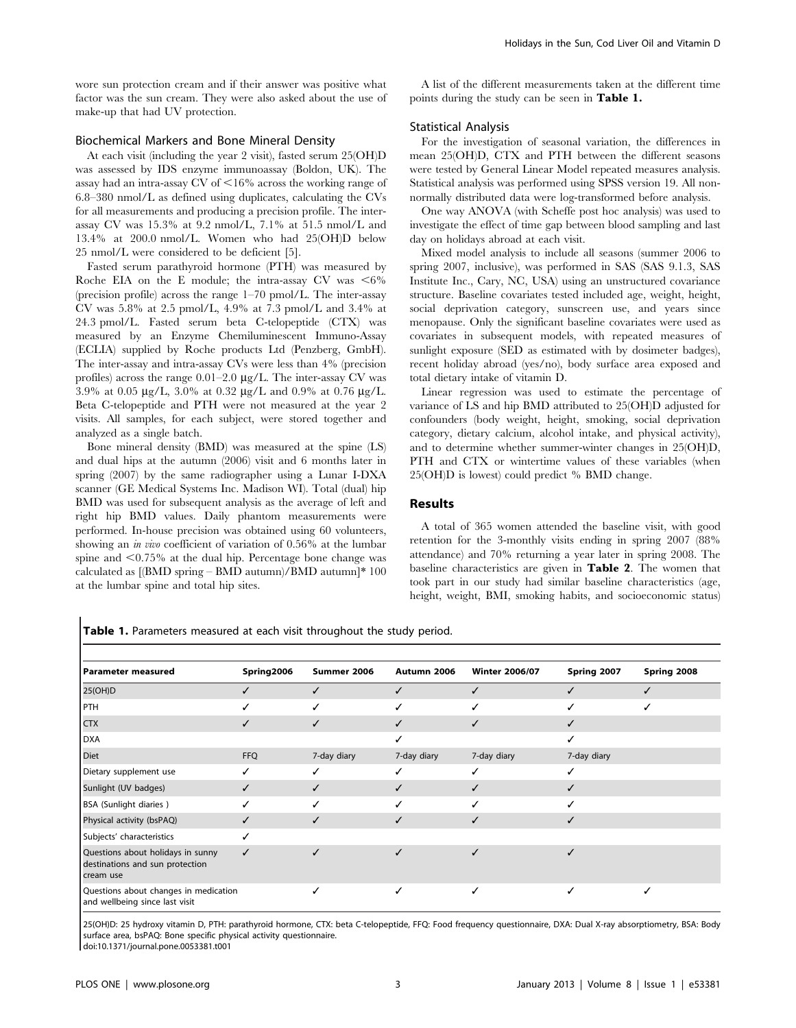wore sun protection cream and if their answer was positive what factor was the sun cream. They were also asked about the use of make-up that had UV protection.

## Biochemical Markers and Bone Mineral Density

At each visit (including the year 2 visit), fasted serum 25(OH)D was assessed by IDS enzyme immunoassay (Boldon, UK). The assay had an intra-assay  $CV$  of  $\leq 16\%$  across the working range of 6.8–380 nmol/L as defined using duplicates, calculating the CVs for all measurements and producing a precision profile. The interassay CV was 15.3% at 9.2 nmol/L, 7.1% at 51.5 nmol/L and 13.4% at 200.0 nmol/L. Women who had 25(OH)D below 25 nmol/L were considered to be deficient [5].

Fasted serum parathyroid hormone (PTH) was measured by Roche EIA on the E module; the intra-assay CV was  $<6\%$ (precision profile) across the range 1–70 pmol/L. The inter-assay CV was 5.8% at 2.5 pmol/L, 4.9% at 7.3 pmol/L and 3.4% at 24.3 pmol/L. Fasted serum beta C-telopeptide (CTX) was measured by an Enzyme Chemiluminescent Immuno-Assay (ECLIA) supplied by Roche products Ltd (Penzberg, GmbH). The inter-assay and intra-assay CVs were less than 4% (precision profiles) across the range  $0.01-2.0 \mu g/L$ . The inter-assay CV was 3.9% at 0.05  $\mu$ g/L, 3.0% at 0.32  $\mu$ g/L and 0.9% at 0.76  $\mu$ g/L. Beta C-telopeptide and PTH were not measured at the year 2 visits. All samples, for each subject, were stored together and analyzed as a single batch.

Bone mineral density (BMD) was measured at the spine (LS) and dual hips at the autumn (2006) visit and 6 months later in spring (2007) by the same radiographer using a Lunar I-DXA scanner (GE Medical Systems Inc. Madison WI). Total (dual) hip BMD was used for subsequent analysis as the average of left and right hip BMD values. Daily phantom measurements were performed. In-house precision was obtained using 60 volunteers, showing an in vivo coefficient of variation of 0.56% at the lumbar spine and  $\leq 0.75\%$  at the dual hip. Percentage bone change was calculated as [(BMD spring – BMD autumn)/BMD autumn]\* 100 at the lumbar spine and total hip sites.

A list of the different measurements taken at the different time points during the study can be seen in Table 1.

## Statistical Analysis

For the investigation of seasonal variation, the differences in mean 25(OH)D, CTX and PTH between the different seasons were tested by General Linear Model repeated measures analysis. Statistical analysis was performed using SPSS version 19. All nonnormally distributed data were log-transformed before analysis.

One way ANOVA (with Scheffe post hoc analysis) was used to investigate the effect of time gap between blood sampling and last day on holidays abroad at each visit.

Mixed model analysis to include all seasons (summer 2006 to spring 2007, inclusive), was performed in SAS (SAS 9.1.3, SAS Institute Inc., Cary, NC, USA) using an unstructured covariance structure. Baseline covariates tested included age, weight, height, social deprivation category, sunscreen use, and years since menopause. Only the significant baseline covariates were used as covariates in subsequent models, with repeated measures of sunlight exposure (SED as estimated with by dosimeter badges), recent holiday abroad (yes/no), body surface area exposed and total dietary intake of vitamin D.

Linear regression was used to estimate the percentage of variance of LS and hip BMD attributed to 25(OH)D adjusted for confounders (body weight, height, smoking, social deprivation category, dietary calcium, alcohol intake, and physical activity), and to determine whether summer-winter changes in 25(OH)D, PTH and CTX or wintertime values of these variables (when 25(OH)D is lowest) could predict % BMD change.

## Results

A total of 365 women attended the baseline visit, with good retention for the 3-monthly visits ending in spring 2007 (88% attendance) and 70% returning a year later in spring 2008. The baseline characteristics are given in Table 2. The women that took part in our study had similar baseline characteristics (age, height, weight, BMI, smoking habits, and socioeconomic status)

Table 1. Parameters measured at each visit throughout the study period.

| Parameter measured                                                                | Spring2006 | Summer 2006 | Autumn 2006 | <b>Winter 2006/07</b> | Spring 2007 | Spring 2008 |
|-----------------------------------------------------------------------------------|------------|-------------|-------------|-----------------------|-------------|-------------|
| 25(OH)D                                                                           |            | ✓           |             |                       |             |             |
| PTH                                                                               | ✓          | ✓           | ✓           |                       |             |             |
| <b>CTX</b>                                                                        | ✓          | ✓           |             | ✓                     |             |             |
| <b>DXA</b>                                                                        |            |             |             |                       |             |             |
| Diet                                                                              | <b>FFQ</b> | 7-day diary | 7-day diary | 7-day diary           | 7-day diary |             |
| Dietary supplement use                                                            |            |             |             |                       |             |             |
| Sunlight (UV badges)                                                              | ✓          | ✓           | ✓           | ✓                     |             |             |
| BSA (Sunlight diaries)                                                            |            | ✓           |             |                       |             |             |
| Physical activity (bsPAQ)                                                         | ✓          | ✓           |             | ✓                     | ✓           |             |
| Subjects' characteristics                                                         |            |             |             |                       |             |             |
| Questions about holidays in sunny<br>destinations and sun protection<br>cream use | ✓          |             |             |                       |             |             |
| Questions about changes in medication<br>and wellbeing since last visit           |            | ✓           | ✓           | ✓                     |             |             |

25(OH)D: 25 hydroxy vitamin D, PTH: parathyroid hormone, CTX: beta C-telopeptide, FFQ: Food frequency questionnaire, DXA: Dual X-ray absorptiometry, BSA: Body surface area, bsPAQ: Bone specific physical activity questionnaire.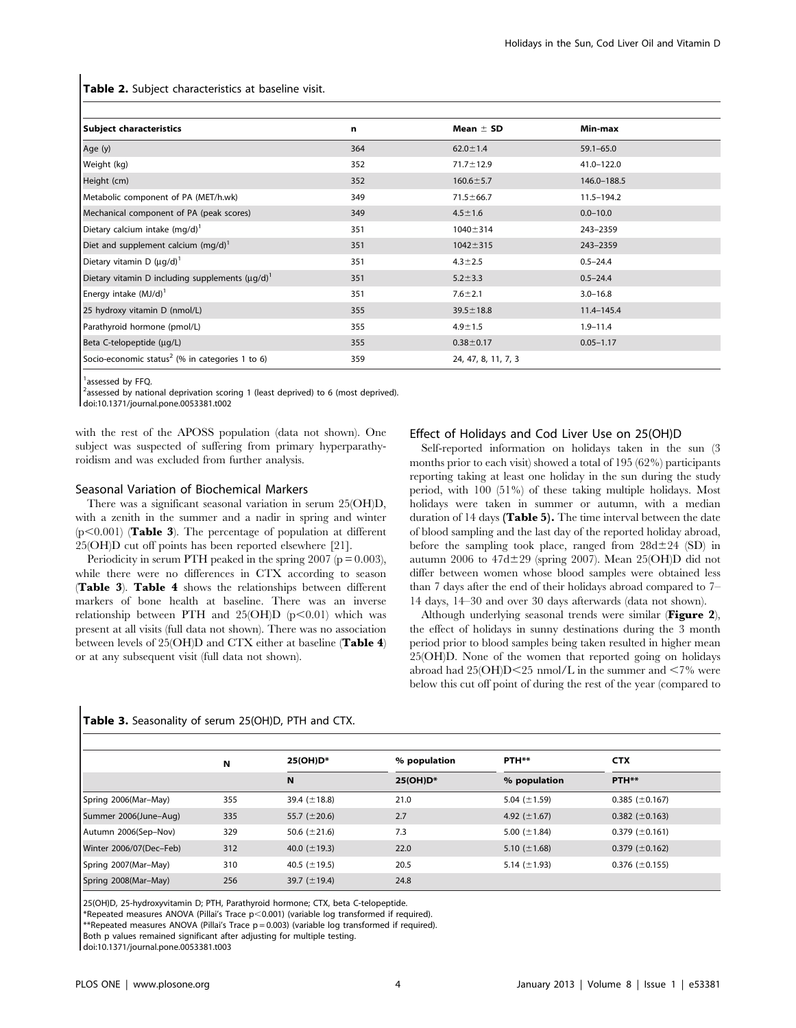Table 2. Subject characteristics at baseline visit.

| Subject characteristics                                     | n   | Mean $\pm$ SD       | Min-max        |  |
|-------------------------------------------------------------|-----|---------------------|----------------|--|
| Age (y)                                                     | 364 | $62.0 \pm 1.4$      | $59.1 - 65.0$  |  |
| Weight (kg)                                                 | 352 | $71.7 \pm 12.9$     | 41.0-122.0     |  |
| Height (cm)                                                 | 352 | $160.6 \pm 5.7$     | 146.0-188.5    |  |
| Metabolic component of PA (MET/h.wk)                        | 349 | $71.5 \pm 66.7$     | $11.5 - 194.2$ |  |
| Mechanical component of PA (peak scores)                    | 349 | $4.5 \pm 1.6$       | $0.0 - 10.0$   |  |
| Dietary calcium intake $(mq/d)^T$                           | 351 | $1040 \pm 314$      | 243-2359       |  |
| Diet and supplement calcium $(mq/d)^1$                      | 351 | $1042 \pm 315$      | 243-2359       |  |
| Dietary vitamin D $(\mu q/d)^1$                             | 351 | $4.3 \pm 2.5$       | $0.5 - 24.4$   |  |
| Dietary vitamin D including supplements $(\mu q/d)^T$       | 351 | $5.2 \pm 3.3$       | $0.5 - 24.4$   |  |
| Energy intake $(MJ/d)^T$                                    | 351 | $7.6 \pm 2.1$       | $3.0 - 16.8$   |  |
| 25 hydroxy vitamin D (nmol/L)                               | 355 | $39.5 \pm 18.8$     | $11.4 - 145.4$ |  |
| Parathyroid hormone (pmol/L)                                | 355 | $4.9 \pm 1.5$       | $1.9 - 11.4$   |  |
| Beta C-telopeptide (µg/L)                                   | 355 | $0.38 + 0.17$       | $0.05 - 1.17$  |  |
| Socio-economic status <sup>2</sup> (% in categories 1 to 6) | 359 | 24, 47, 8, 11, 7, 3 |                |  |

<sup>1</sup>assessed by FFQ.

<sup>2</sup>assessed by national deprivation scoring 1 (least deprived) to 6 (most deprived). doi:10.1371/journal.pone.0053381.t002

with the rest of the APOSS population (data not shown). One subject was suspected of suffering from primary hyperparathyroidism and was excluded from further analysis.

## Seasonal Variation of Biochemical Markers

There was a significant seasonal variation in serum 25(OH)D, with a zenith in the summer and a nadir in spring and winter  $(p<0.001)$  (**Table 3**). The percentage of population at different 25(OH)D cut off points has been reported elsewhere [21].

Periodicity in serum PTH peaked in the spring  $2007$  ( $p = 0.003$ ), while there were no differences in CTX according to season (Table 3). Table 4 shows the relationships between different markers of bone health at baseline. There was an inverse relationship between PTH and  $25(OH)D (p<0.01)$  which was present at all visits (full data not shown). There was no association between levels of 25(OH)D and CTX either at baseline (Table 4) or at any subsequent visit (full data not shown).

#### Effect of Holidays and Cod Liver Use on 25(OH)D

Self-reported information on holidays taken in the sun (3 months prior to each visit) showed a total of 195 (62%) participants reporting taking at least one holiday in the sun during the study period, with 100 (51%) of these taking multiple holidays. Most holidays were taken in summer or autumn, with a median duration of 14 days (Table 5). The time interval between the date of blood sampling and the last day of the reported holiday abroad, before the sampling took place, ranged from  $28d \pm 24$  (SD) in autumn 2006 to  $47d \pm 29$  (spring 2007). Mean 25(OH)D did not differ between women whose blood samples were obtained less than 7 days after the end of their holidays abroad compared to 7– 14 days, 14–30 and over 30 days afterwards (data not shown).

Although underlying seasonal trends were similar (Figure 2), the effect of holidays in sunny destinations during the 3 month period prior to blood samples being taken resulted in higher mean 25(OH)D. None of the women that reported going on holidays abroad had  $25(OH)D < 25$  nmol/L in the summer and  $< 7\%$  were below this cut off point of during the rest of the year (compared to

# Table 3. Seasonality of serum 25(OH)D, PTH and CTX.

|                         | N   | 25(OH)D*           | % population | PTH**             | <b>CTX</b>            |  |  |
|-------------------------|-----|--------------------|--------------|-------------------|-----------------------|--|--|
|                         |     | N                  | 25(OH)D*     | % population      | PTH**                 |  |  |
| Spring 2006(Mar-May)    | 355 | 39.4 $(\pm 18.8)$  | 21.0         | 5.04 $(\pm 1.59)$ | $0.385 \ (\pm 0.167)$ |  |  |
| Summer 2006(June-Aug)   | 335 | 55.7 ( $\pm$ 20.6) | 2.7          | 4.92 $(\pm 1.67)$ | $0.382 \ (\pm 0.163)$ |  |  |
| Autumn 2006(Sep-Nov)    | 329 | 50.6 $(\pm 21.6)$  | 7.3          | 5.00 $(\pm 1.84)$ | $0.379 \ (\pm 0.161)$ |  |  |
| Winter 2006/07(Dec-Feb) | 312 | 40.0 $(\pm 19.3)$  | 22.0         | 5.10 $(\pm 1.68)$ | $0.379 \ (\pm 0.162)$ |  |  |
| Spring 2007(Mar-May)    | 310 | 40.5 ( $\pm$ 19.5) | 20.5         | 5.14 $(\pm 1.93)$ | $0.376 \ (\pm 0.155)$ |  |  |
| Spring 2008(Mar-May)    | 256 | 39.7 $(\pm 19.4)$  | 24.8         |                   |                       |  |  |

25(OH)D, 25-hydroxyvitamin D; PTH, Parathyroid hormone; CTX, beta C-telopeptide.

\*Repeated measures ANOVA (Pillai's Trace p<0.001) (variable log transformed if required).

\*\*Repeated measures ANOVA (Pillai's Trace p = 0.003) (variable log transformed if required).

Both p values remained significant after adjusting for multiple testing.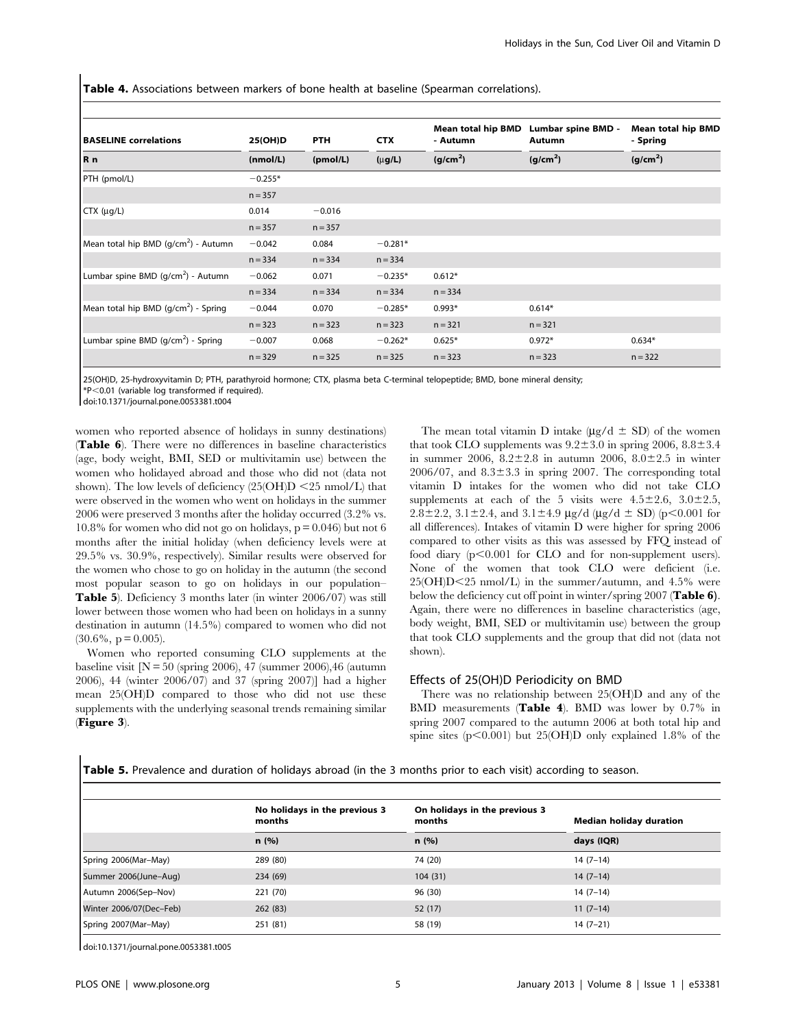**Table 4.** Associations between markers of bone health at baseline (Spearman correlations).

| <b>BASELINE</b> correlations                     | 25(OH)D   | <b>PTH</b> | <b>CTX</b>  | Mean total hip BMD<br>- Autumn | Lumbar spine BMD -<br>Autumn | <b>Mean total hip BMD</b><br>- Spring |  |
|--------------------------------------------------|-----------|------------|-------------|--------------------------------|------------------------------|---------------------------------------|--|
| Rn                                               | (mmol/L)  | (pmol/L)   | $(\mu g/L)$ | (g/cm <sup>2</sup> )           | (g/cm <sup>2</sup> )         | (g/cm <sup>2</sup> )                  |  |
| PTH (pmol/L)                                     | $-0.255*$ |            |             |                                |                              |                                       |  |
|                                                  | $n = 357$ |            |             |                                |                              |                                       |  |
| $CTX$ ( $\mu$ g/L)                               | 0.014     | $-0.016$   |             |                                |                              |                                       |  |
|                                                  | $n = 357$ | $n = 357$  |             |                                |                              |                                       |  |
| Mean total hip BMD $(q/cm^2)$ - Autumn           | $-0.042$  | 0.084      | $-0.281*$   |                                |                              |                                       |  |
|                                                  | $n = 334$ | $n = 334$  | $n = 334$   |                                |                              |                                       |  |
| Lumbar spine BMD (g/cm <sup>2</sup> ) - Autumn   | $-0.062$  | 0.071      | $-0.235*$   | $0.612*$                       |                              |                                       |  |
|                                                  | $n = 334$ | $n = 334$  | $n = 334$   | $n = 334$                      |                              |                                       |  |
| Mean total hip BMD (g/cm <sup>2</sup> ) - Spring | $-0.044$  | 0.070      | $-0.285*$   | $0.993*$                       | $0.614*$                     |                                       |  |
|                                                  | $n = 323$ | $n = 323$  | $n = 323$   | $n = 321$                      | $n = 321$                    |                                       |  |
| Lumbar spine BMD (g/cm <sup>2</sup> ) - Spring   | $-0.007$  | 0.068      | $-0.262*$   | $0.625*$                       | $0.972*$                     | $0.634*$                              |  |
|                                                  | $n = 329$ | $n = 325$  | $n = 325$   | $n = 323$                      | $n = 323$                    | $n = 322$                             |  |

25(OH)D, 25-hydroxyvitamin D; PTH, parathyroid hormone; CTX, plasma beta C-terminal telopeptide; BMD, bone mineral density;

\*P,0.01 (variable log transformed if required). doi:10.1371/journal.pone.0053381.t004

women who reported absence of holidays in sunny destinations) (Table 6). There were no differences in baseline characteristics (age, body weight, BMI, SED or multivitamin use) between the women who holidayed abroad and those who did not (data not shown). The low levels of deficiency  $(25(OH)D \le 25 \text{ nmol/L})$  that were observed in the women who went on holidays in the summer 2006 were preserved 3 months after the holiday occurred (3.2% vs. 10.8% for women who did not go on holidays,  $p = 0.046$ ) but not 6 months after the initial holiday (when deficiency levels were at 29.5% vs. 30.9%, respectively). Similar results were observed for the women who chose to go on holiday in the autumn (the second most popular season to go on holidays in our population– Table 5). Deficiency 3 months later (in winter 2006/07) was still lower between those women who had been on holidays in a sunny destination in autumn (14.5%) compared to women who did not  $(30.6\%, p = 0.005)$ .

Women who reported consuming CLO supplements at the baseline visit  $[N = 50$  (spring 2006), 47 (summer 2006), 46 (autumn 2006), 44 (winter 2006/07) and 37 (spring 2007)] had a higher mean 25(OH)D compared to those who did not use these supplements with the underlying seasonal trends remaining similar (Figure 3).

The mean total vitamin D intake ( $\mu$ g/d  $\pm$  SD) of the women that took CLO supplements was  $9.2 \pm 3.0$  in spring 2006,  $8.8 \pm 3.4$ in summer 2006,  $8.2 \pm 2.8$  in autumn 2006,  $8.0 \pm 2.5$  in winter  $2006/07$ , and  $8.3\pm3.3$  in spring 2007. The corresponding total vitamin D intakes for the women who did not take CLO supplements at each of the 5 visits were  $4.5\pm2.6$ ,  $3.0\pm2.5$ ,  $2.8\pm2.2$ ,  $3.1\pm2.4$ , and  $3.1\pm4.9$  µg/d (µg/d  $\pm$  SD) (p<0.001 for all differences). Intakes of vitamin D were higher for spring 2006 compared to other visits as this was assessed by FFQ instead of food diary  $(p<0.001$  for CLO and for non-supplement users). None of the women that took CLO were deficient (i.e.  $25(OH)D < 25$  nmol/L) in the summer/autumn, and 4.5% were below the deficiency cut off point in winter/spring 2007 (Table 6). Again, there were no differences in baseline characteristics (age, body weight, BMI, SED or multivitamin use) between the group that took CLO supplements and the group that did not (data not shown).

# Effects of 25(OH)D Periodicity on BMD

There was no relationship between 25(OH)D and any of the BMD measurements (Table 4). BMD was lower by 0.7% in spring 2007 compared to the autumn 2006 at both total hip and spine sites ( $p<0.001$ ) but 25(OH)D only explained 1.8% of the

Table 5. Prevalence and duration of holidays abroad (in the 3 months prior to each visit) according to season.

|                         | No holidays in the previous 3<br>months | On holidays in the previous 3<br>months | <b>Median holiday duration</b> |  |
|-------------------------|-----------------------------------------|-----------------------------------------|--------------------------------|--|
|                         | n(%)                                    | n(%)                                    | days (IQR)                     |  |
| Spring 2006(Mar-May)    | 289 (80)                                | 74 (20)                                 | $14(7-14)$                     |  |
| Summer 2006(June-Aug)   | 234 (69)                                | 104(31)                                 | $14(7-14)$                     |  |
| Autumn 2006(Sep-Nov)    | 221 (70)                                | 96 (30)                                 | $14(7-14)$                     |  |
| Winter 2006/07(Dec-Feb) | 262(83)                                 | 52(17)                                  | $11(7-14)$                     |  |
| Spring 2007(Mar-May)    | 251 (81)                                | 58 (19)                                 | $14(7-21)$                     |  |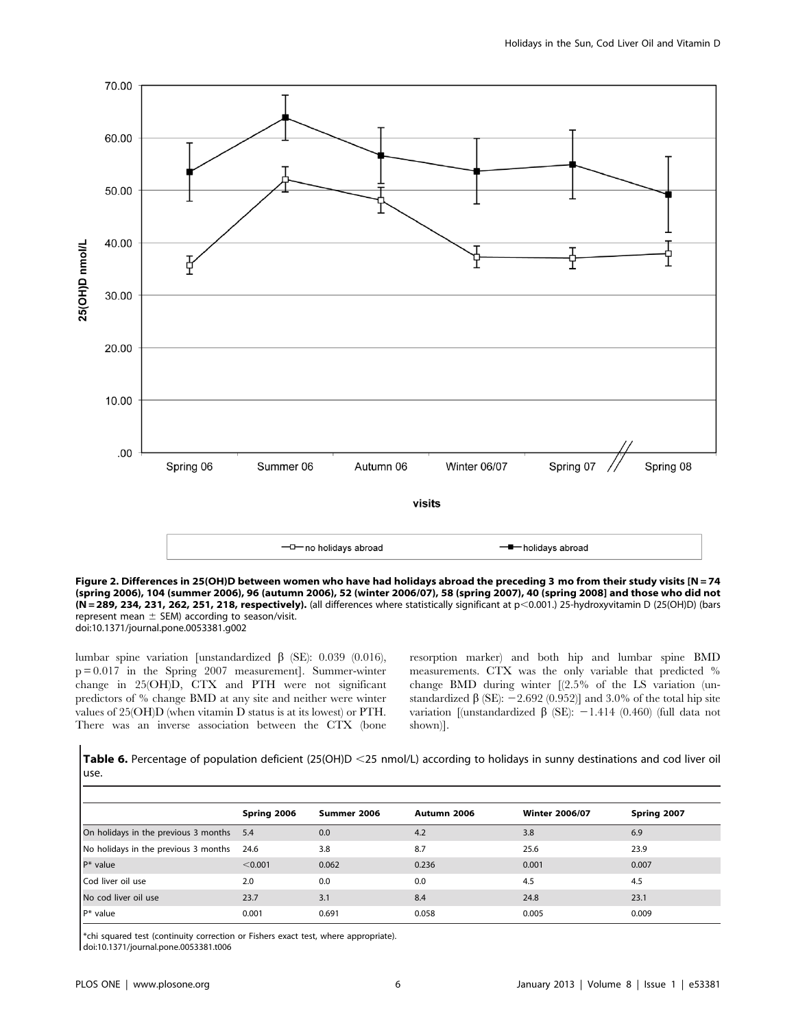

Figure 2. Differences in 25(OH)D between women who have had holidays abroad the preceding 3 mo from their study visits [N = 74 (spring 2006), 104 (summer 2006), 96 (autumn 2006), 52 (winter 2006/07), 58 (spring 2007), 40 (spring 2008] and those who did not (N = 289, 234, 231, 262, 251, 218, respectively). (all differences where statistically significant at p<0.001.) 25-hydroxyvitamin D (25(OH)D) (bars represent mean  $\pm$  SEM) according to season/visit.

doi:10.1371/journal.pone.0053381.g002

lumbar spine variation [unstandardized  $\beta$  (SE): 0.039 (0.016), p = 0.017 in the Spring 2007 measurement]. Summer-winter change in 25(OH)D, CTX and PTH were not significant predictors of % change BMD at any site and neither were winter values of 25(OH)D (when vitamin D status is at its lowest) or PTH. There was an inverse association between the CTX (bone

resorption marker) and both hip and lumbar spine BMD measurements. CTX was the only variable that predicted % change BMD during winter [(2.5% of the LS variation (unstandardized  $\beta$  (SE): -2.692 (0.952)] and 3.0% of the total hip site variation [(unstandardized  $\beta$  (SE): -1.414 (0.460) (full data not shown)].

Table 6. Percentage of population deficient (25(OH)D <25 nmol/L) according to holidays in sunny destinations and cod liver oil use.

|                                      | Spring 2006 | Summer 2006 | Autumn 2006 | <b>Winter 2006/07</b> | Spring 2007 |
|--------------------------------------|-------------|-------------|-------------|-----------------------|-------------|
| On holidays in the previous 3 months | 5.4         | 0.0         | 4.2         | 3.8                   | 6.9         |
| No holidays in the previous 3 months | 24.6        | 3.8         | 8.7         | 25.6                  | 23.9        |
| $P*$ value                           | < 0.001     | 0.062       | 0.236       | 0.001                 | 0.007       |
| Cod liver oil use                    | 2.0         | 0.0         | 0.0         | 4.5                   | 4.5         |
| No cod liver oil use                 | 23.7        | 3.1         | 8.4         | 24.8                  | 23.1        |
| $P^*$ value                          | 0.001       | 0.691       | 0.058       | 0.005                 | 0.009       |

\*chi squared test (continuity correction or Fishers exact test, where appropriate).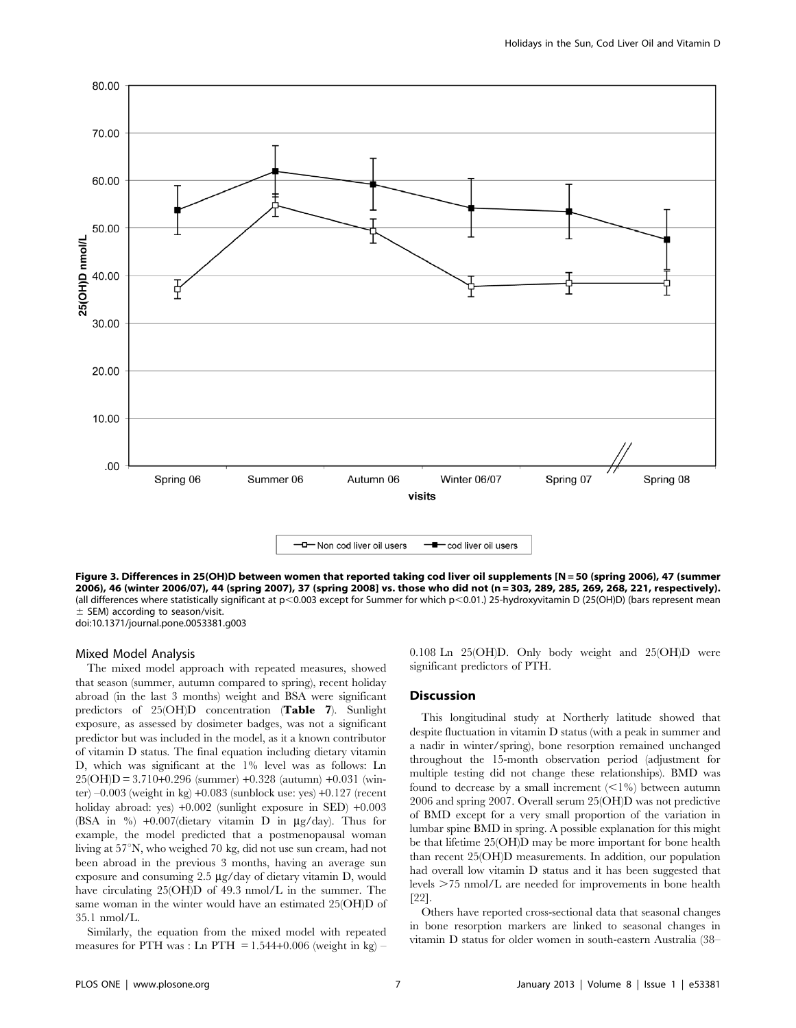

Figure 3. Differences in 25(OH)D between women that reported taking cod liver oil supplements [N = 50 (spring 2006), 47 (summer 2006), 46 (winter 2006/07), 44 (spring 2007), 37 (spring 2008] vs. those who did not (n = 303, 289, 285, 269, 268, 221, respectively). (all differences where statistically significant at p<0.003 except for Summer for which p<0.01.) 25-hydroxyvitamin D (25(OH)D) (bars represent mean  $±$  SEM) according to season/visit.

doi:10.1371/journal.pone.0053381.g003

## Mixed Model Analysis

The mixed model approach with repeated measures, showed that season (summer, autumn compared to spring), recent holiday abroad (in the last 3 months) weight and BSA were significant predictors of 25(OH)D concentration (Table 7). Sunlight exposure, as assessed by dosimeter badges, was not a significant predictor but was included in the model, as it a known contributor of vitamin D status. The final equation including dietary vitamin D, which was significant at the 1% level was as follows: Ln 25(OH)D = 3.710+0.296 (summer) +0.328 (autumn) +0.031 (winter)  $-0.003$  (weight in kg)  $+0.083$  (sunblock use: yes)  $+0.127$  (recent holiday abroad: yes) +0.002 (sunlight exposure in SED) +0.003 (BSA in  $\%$ ) +0.007(dietary vitamin D in  $\mu$ g/day). Thus for example, the model predicted that a postmenopausal woman living at  $57^\circ$ N, who weighed 70 kg, did not use sun cream, had not been abroad in the previous 3 months, having an average sun exposure and consuming  $2.5 \mu g/day$  of dietary vitamin D, would have circulating 25(OH)D of 49.3 nmol/L in the summer. The same woman in the winter would have an estimated 25(OH)D of 35.1 nmol/L.

Similarly, the equation from the mixed model with repeated measures for PTH was : Ln PTH  $= 1.544+0.006$  (weight in kg) –

0.108 Ln 25(OH)D. Only body weight and 25(OH)D were significant predictors of PTH.

## Discussion

This longitudinal study at Northerly latitude showed that despite fluctuation in vitamin D status (with a peak in summer and a nadir in winter/spring), bone resorption remained unchanged throughout the 15-month observation period (adjustment for multiple testing did not change these relationships). BMD was found to decrease by a small increment  $($  < 1%) between autumn 2006 and spring 2007. Overall serum 25(OH)D was not predictive of BMD except for a very small proportion of the variation in lumbar spine BMD in spring. A possible explanation for this might be that lifetime 25(OH)D may be more important for bone health than recent 25(OH)D measurements. In addition, our population had overall low vitamin D status and it has been suggested that levels  $>75$  nmol/L are needed for improvements in bone health [22].

Others have reported cross-sectional data that seasonal changes in bone resorption markers are linked to seasonal changes in vitamin D status for older women in south-eastern Australia (38–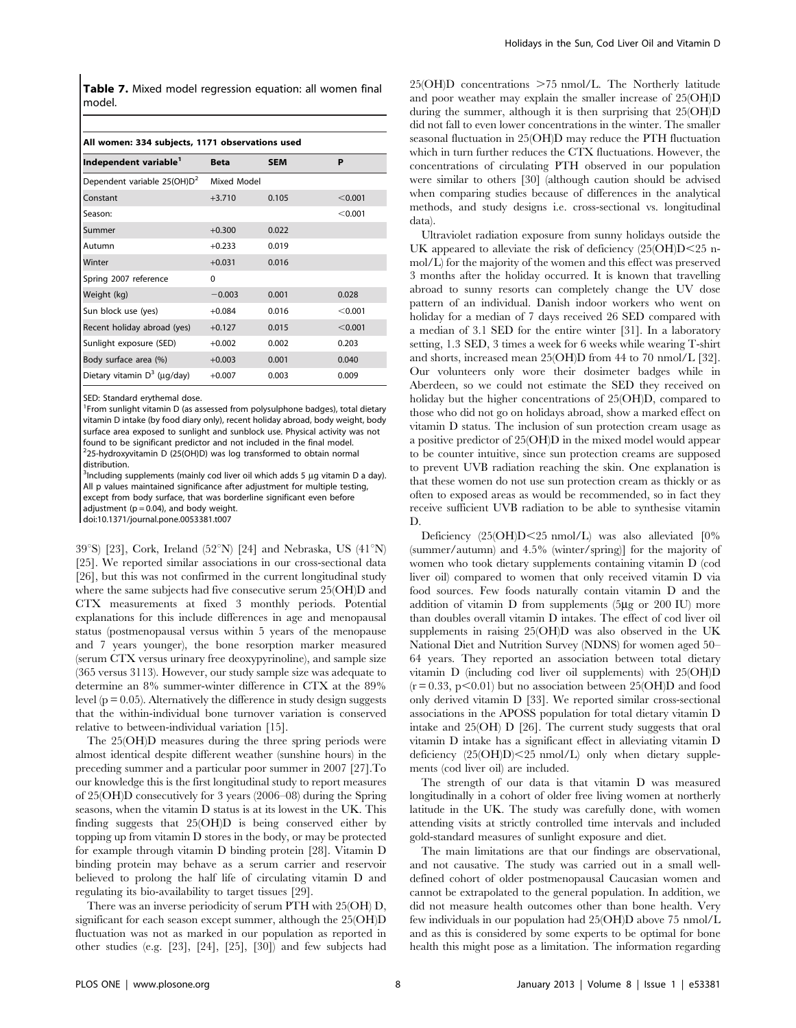Table 7. Mixed model regression equation: all women final model.

#### All women: 334 subjects, 1171 observations used

| Independent variable <sup>1</sup>       | <b>Beta</b> | <b>SEM</b> | P       |
|-----------------------------------------|-------------|------------|---------|
| Dependent variable 25(OH)D <sup>2</sup> | Mixed Model |            |         |
| Constant                                | $+3.710$    | 0.105      | < 0.001 |
| Season:                                 |             |            | < 0.001 |
| Summer                                  | $+0.300$    | 0.022      |         |
| Autumn                                  | $+0.233$    | 0.019      |         |
| Winter                                  | $+0.031$    | 0.016      |         |
| Spring 2007 reference                   | $\Omega$    |            |         |
| Weight (kg)                             | $-0.003$    | 0.001      | 0.028   |
| Sun block use (yes)                     | $+0.084$    | 0.016      | < 0.001 |
| Recent holiday abroad (yes)             | $+0.127$    | 0.015      | < 0.001 |
| Sunlight exposure (SED)                 | $+0.002$    | 0.002      | 0.203   |
| Body surface area (%)                   | $+0.003$    | 0.001      | 0.040   |
| Dietary vitamin $D^3$ (µq/day)          | $+0.007$    | 0.003      | 0.009   |

SED: Standard erythemal dose.

<sup>1</sup> From sunlight vitamin D (as assessed from polysulphone badges), total dietary vitamin D intake (by food diary only), recent holiday abroad, body weight, body surface area exposed to sunlight and sunblock use. Physical activity was not found to be significant predictor and not included in the final model.  $2$ 25-hydroxyvitamin D (25(OH)D) was log transformed to obtain normal distribution.

 $3$ Including supplements (mainly cod liver oil which adds 5  $\mu$ g vitamin D a day). All p values maintained significance after adjustment for multiple testing, except from body surface, that was borderline significant even before adjustment  $(p = 0.04)$ , and body weight.

doi:10.1371/journal.pone.0053381.t007

39°S) [23], Cork, Ireland (52°N) [24] and Nebraska, US (41°N) [25]. We reported similar associations in our cross-sectional data [26], but this was not confirmed in the current longitudinal study where the same subjects had five consecutive serum 25(OH)D and CTX measurements at fixed 3 monthly periods. Potential explanations for this include differences in age and menopausal status (postmenopausal versus within 5 years of the menopause and 7 years younger), the bone resorption marker measured (serum CTX versus urinary free deoxypyrinoline), and sample size (365 versus 3113). However, our study sample size was adequate to determine an 8% summer-winter difference in CTX at the 89% level ( $p = 0.05$ ). Alternatively the difference in study design suggests that the within-individual bone turnover variation is conserved relative to between-individual variation [15].

The 25(OH)D measures during the three spring periods were almost identical despite different weather (sunshine hours) in the preceding summer and a particular poor summer in 2007 [27].To our knowledge this is the first longitudinal study to report measures of 25(OH)D consecutively for 3 years (2006–08) during the Spring seasons, when the vitamin D status is at its lowest in the UK. This finding suggests that 25(OH)D is being conserved either by topping up from vitamin D stores in the body, or may be protected for example through vitamin D binding protein [28]. Vitamin D binding protein may behave as a serum carrier and reservoir believed to prolong the half life of circulating vitamin D and regulating its bio-availability to target tissues [29].

There was an inverse periodicity of serum PTH with 25(OH) D, significant for each season except summer, although the 25(OH)D fluctuation was not as marked in our population as reported in other studies (e.g. [23], [24], [25], [30]) and few subjects had  $25(OH)D$  concentrations  $>75$  nmol/L. The Northerly latitude and poor weather may explain the smaller increase of 25(OH)D during the summer, although it is then surprising that 25(OH)D did not fall to even lower concentrations in the winter. The smaller seasonal fluctuation in 25(OH)D may reduce the PTH fluctuation which in turn further reduces the CTX fluctuations. However, the concentrations of circulating PTH observed in our population were similar to others [30] (although caution should be advised when comparing studies because of differences in the analytical methods, and study designs i.e. cross-sectional vs. longitudinal data).

Ultraviolet radiation exposure from sunny holidays outside the UK appeared to alleviate the risk of deficiency  $(25(OH)D<25$  nmol/L) for the majority of the women and this effect was preserved 3 months after the holiday occurred. It is known that travelling abroad to sunny resorts can completely change the UV dose pattern of an individual. Danish indoor workers who went on holiday for a median of 7 days received 26 SED compared with a median of 3.1 SED for the entire winter [31]. In a laboratory setting, 1.3 SED, 3 times a week for 6 weeks while wearing T-shirt and shorts, increased mean 25(OH)D from 44 to 70 nmol/L [32]. Our volunteers only wore their dosimeter badges while in Aberdeen, so we could not estimate the SED they received on holiday but the higher concentrations of 25(OH)D, compared to those who did not go on holidays abroad, show a marked effect on vitamin D status. The inclusion of sun protection cream usage as a positive predictor of 25(OH)D in the mixed model would appear to be counter intuitive, since sun protection creams are supposed to prevent UVB radiation reaching the skin. One explanation is that these women do not use sun protection cream as thickly or as often to exposed areas as would be recommended, so in fact they receive sufficient UVB radiation to be able to synthesise vitamin D.

Deficiency (25(OH)D<25 nmol/L) was also alleviated [0% (summer/autumn) and 4.5% (winter/spring)] for the majority of women who took dietary supplements containing vitamin D (cod liver oil) compared to women that only received vitamin D via food sources. Few foods naturally contain vitamin D and the addition of vitamin  $D$  from supplements (5 $\mu$ g or 200 IU) more than doubles overall vitamin D intakes. The effect of cod liver oil supplements in raising 25(OH)D was also observed in the UK National Diet and Nutrition Survey (NDNS) for women aged 50– 64 years. They reported an association between total dietary vitamin D (including cod liver oil supplements) with 25(OH)D  $(r = 0.33, p < 0.01)$  but no association between 25(OH)D and food only derived vitamin D [33]. We reported similar cross-sectional associations in the APOSS population for total dietary vitamin D intake and 25(OH) D [26]. The current study suggests that oral vitamin D intake has a significant effect in alleviating vitamin D deficiency  $(25(OH)D) < 25$  nmol/L) only when dietary supplements (cod liver oil) are included.

The strength of our data is that vitamin D was measured longitudinally in a cohort of older free living women at northerly latitude in the UK. The study was carefully done, with women attending visits at strictly controlled time intervals and included gold-standard measures of sunlight exposure and diet.

The main limitations are that our findings are observational, and not causative. The study was carried out in a small welldefined cohort of older postmenopausal Caucasian women and cannot be extrapolated to the general population. In addition, we did not measure health outcomes other than bone health. Very few individuals in our population had 25(OH)D above 75 nmol/L and as this is considered by some experts to be optimal for bone health this might pose as a limitation. The information regarding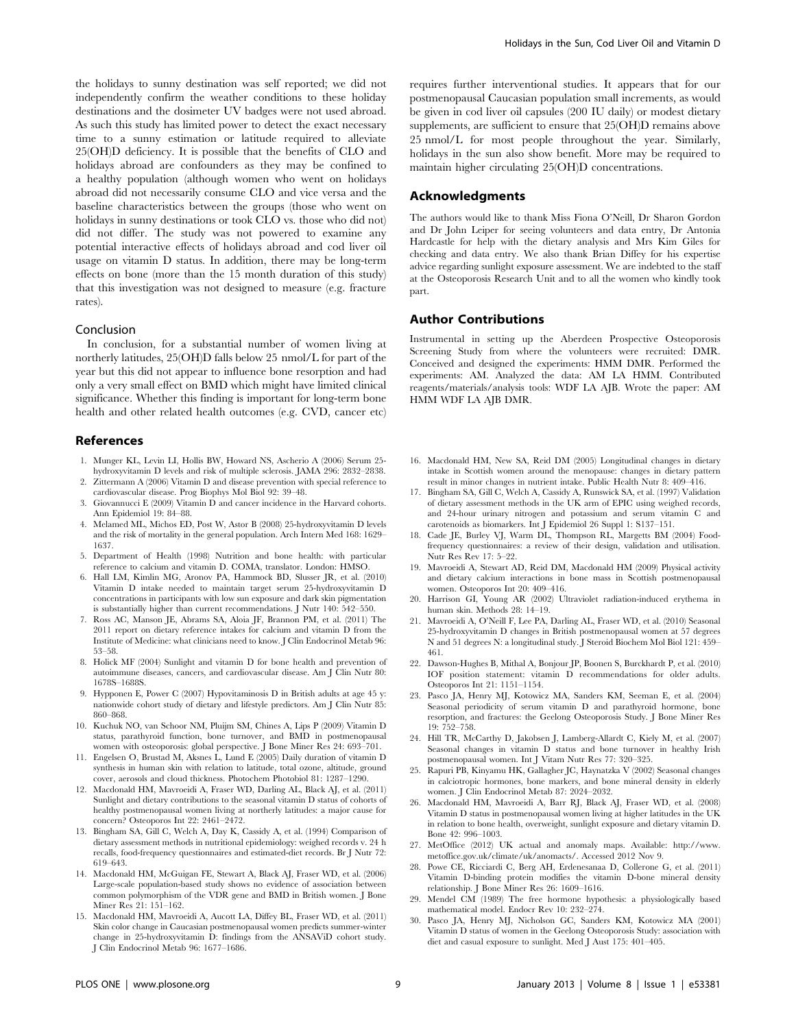the holidays to sunny destination was self reported; we did not independently confirm the weather conditions to these holiday destinations and the dosimeter UV badges were not used abroad. As such this study has limited power to detect the exact necessary time to a sunny estimation or latitude required to alleviate 25(OH)D deficiency. It is possible that the benefits of CLO and holidays abroad are confounders as they may be confined to a healthy population (although women who went on holidays abroad did not necessarily consume CLO and vice versa and the baseline characteristics between the groups (those who went on holidays in sunny destinations or took CLO vs. those who did not) did not differ. The study was not powered to examine any potential interactive effects of holidays abroad and cod liver oil usage on vitamin D status. In addition, there may be long-term effects on bone (more than the 15 month duration of this study) that this investigation was not designed to measure (e.g. fracture rates).

## Conclusion

In conclusion, for a substantial number of women living at northerly latitudes, 25(OH)D falls below 25 nmol/L for part of the year but this did not appear to influence bone resorption and had only a very small effect on BMD which might have limited clinical significance. Whether this finding is important for long-term bone health and other related health outcomes (e.g. CVD, cancer etc)

## References

- 1. Munger KL, Levin LI, Hollis BW, Howard NS, Ascherio A (2006) Serum 25 hydroxyvitamin D levels and risk of multiple sclerosis. JAMA 296: 2832–2838.
- 2. Zittermann A (2006) Vitamin D and disease prevention with special reference to cardiovascular disease. Prog Biophys Mol Biol 92: 39–48.
- 3. Giovannucci E (2009) Vitamin D and cancer incidence in the Harvard cohorts. Ann Epidemiol 19: 84–88.
- 4. Melamed ML, Michos ED, Post W, Astor B (2008) 25-hydroxyvitamin D levels and the risk of mortality in the general population. Arch Intern Med 168: 1629– 1637.
- 5. Department of Health (1998) Nutrition and bone health: with particular reference to calcium and vitamin D. COMA, translator. London: HMSO.
- 6. Hall LM, Kimlin MG, Aronov PA, Hammock BD, Slusser JR, et al. (2010) Vitamin D intake needed to maintain target serum 25-hydroxyvitamin D concentrations in participants with low sun exposure and dark skin pigmentation is substantially higher than current recommendations. J Nutr 140: 542–550.
- 7. Ross AC, Manson JE, Abrams SA, Aloia JF, Brannon PM, et al. (2011) The 2011 report on dietary reference intakes for calcium and vitamin D from the Institute of Medicine: what clinicians need to know. J Clin Endocrinol Metab 96: 53–58.
- 8. Holick MF (2004) Sunlight and vitamin D for bone health and prevention of autoimmune diseases, cancers, and cardiovascular disease. Am J Clin Nutr 80: 1678S–1688S.
- 9. Hypponen E, Power C (2007) Hypovitaminosis D in British adults at age 45 y: nationwide cohort study of dietary and lifestyle predictors. Am J Clin Nutr 85: 860–868.
- 10. Kuchuk NO, van Schoor NM, Pluijm SM, Chines A, Lips P (2009) Vitamin D status, parathyroid function, bone turnover, and BMD in postmenopausal women with osteoporosis: global perspective. J Bone Miner Res 24: 693–701.
- 11. Engelsen O, Brustad M, Aksnes L, Lund E (2005) Daily duration of vitamin D synthesis in human skin with relation to latitude, total ozone, altitude, ground cover, aerosols and cloud thickness. Photochem Photobiol 81: 1287–1290.
- 12. Macdonald HM, Mavroeidi A, Fraser WD, Darling AL, Black AJ, et al. (2011) Sunlight and dietary contributions to the seasonal vitamin D status of cohorts of healthy postmenopausal women living at northerly latitudes: a major cause for concern? Osteoporos Int 22: 2461–2472.
- 13. Bingham SA, Gill C, Welch A, Day K, Cassidy A, et al. (1994) Comparison of dietary assessment methods in nutritional epidemiology: weighed records v. 24 h recalls, food-frequency questionnaires and estimated-diet records. Br J Nutr 72: 619–643.
- 14. Macdonald HM, McGuigan FE, Stewart A, Black AJ, Fraser WD, et al. (2006) Large-scale population-based study shows no evidence of association between common polymorphism of the VDR gene and BMD in British women. J Bone Miner Res 21: 151–162.
- 15. Macdonald HM, Mavroeidi A, Aucott LA, Diffey BL, Fraser WD, et al. (2011) Skin color change in Caucasian postmenopausal women predicts summer-winter change in 25-hydroxyvitamin D: findings from the ANSAViD cohort study. J Clin Endocrinol Metab 96: 1677–1686.

requires further interventional studies. It appears that for our postmenopausal Caucasian population small increments, as would be given in cod liver oil capsules (200 IU daily) or modest dietary supplements, are sufficient to ensure that 25(OH)D remains above 25 nmol/L for most people throughout the year. Similarly, holidays in the sun also show benefit. More may be required to maintain higher circulating 25(OH)D concentrations.

## Acknowledgments

The authors would like to thank Miss Fiona O'Neill, Dr Sharon Gordon and Dr John Leiper for seeing volunteers and data entry, Dr Antonia Hardcastle for help with the dietary analysis and Mrs Kim Giles for checking and data entry. We also thank Brian Diffey for his expertise advice regarding sunlight exposure assessment. We are indebted to the staff at the Osteoporosis Research Unit and to all the women who kindly took part.

# Author Contributions

Instrumental in setting up the Aberdeen Prospective Osteoporosis Screening Study from where the volunteers were recruited: DMR. Conceived and designed the experiments: HMM DMR. Performed the experiments: AM. Analyzed the data: AM LA HMM. Contributed reagents/materials/analysis tools: WDF LA AJB. Wrote the paper: AM HMM WDF LA AJB DMR.

- 16. Macdonald HM, New SA, Reid DM (2005) Longitudinal changes in dietary intake in Scottish women around the menopause: changes in dietary pattern result in minor changes in nutrient intake. Public Health Nutr 8: 409–416.
- 17. Bingham SA, Gill C, Welch A, Cassidy A, Runswick SA, et al. (1997) Validation of dietary assessment methods in the UK arm of EPIC using weighed records, and 24-hour urinary nitrogen and potassium and serum vitamin C and carotenoids as biomarkers. Int J Epidemiol 26 Suppl 1: S137–151.
- 18. Cade JE, Burley VJ, Warm DL, Thompson RL, Margetts BM (2004) Foodfrequency questionnaires: a review of their design, validation and utilisation. Nutr Res Rev 17: 5–22.
- 19. Mavroeidi A, Stewart AD, Reid DM, Macdonald HM (2009) Physical activity and dietary calcium interactions in bone mass in Scottish postmenopausal women. Osteoporos Int 20: 409–416.
- 20. Harrison GI, Young AR (2002) Ultraviolet radiation-induced erythema in human skin. Methods 28: 14–19.
- 21. Mavroeidi A, O'Neill F, Lee PA, Darling AL, Fraser WD, et al. (2010) Seasonal 25-hydroxyvitamin D changes in British postmenopausal women at 57 degrees N and 51 degrees N: a longitudinal study. J Steroid Biochem Mol Biol 121: 459– 461.
- 22. Dawson-Hughes B, Mithal A, Bonjour JP, Boonen S, Burckhardt P, et al. (2010) IOF position statement: vitamin D recommendations for older adults. Osteoporos Int 21: 1151–1154.
- 23. Pasco JA, Henry MJ, Kotowicz MA, Sanders KM, Seeman E, et al. (2004) Seasonal periodicity of serum vitamin D and parathyroid hormone, bone resorption, and fractures: the Geelong Osteoporosis Study. J Bone Miner Res 19: 752–758.
- 24. Hill TR, McCarthy D, Jakobsen J, Lamberg-Allardt C, Kiely M, et al. (2007) Seasonal changes in vitamin D status and bone turnover in healthy Irish postmenopausal women. Int J Vitam Nutr Res 77: 320–325.
- 25. Rapuri PB, Kinyamu HK, Gallagher JC, Haynatzka V (2002) Seasonal changes in calciotropic hormones, bone markers, and bone mineral density in elderly women. J Clin Endocrinol Metab 87: 2024–2032.
- 26. Macdonald HM, Mavroeidi A, Barr RJ, Black AJ, Fraser WD, et al. (2008) Vitamin D status in postmenopausal women living at higher latitudes in the UK in relation to bone health, overweight, sunlight exposure and dietary vitamin D. Bone 42: 996–1003.
- 27. MetOffice (2012) UK actual and anomaly maps. Available: http://www. metoffice.gov.uk/climate/uk/anomacts/. Accessed 2012 Nov 9.
- 28. Powe CE, Ricciardi C, Berg AH, Erdenesanaa D, Collerone G, et al. (2011) Vitamin D-binding protein modifies the vitamin D-bone mineral density relationship. J Bone Miner Res 26: 1609–1616.
- 29. Mendel CM (1989) The free hormone hypothesis: a physiologically based mathematical model. Endocr Rev 10: 232–274.
- 30. Pasco JA, Henry MJ, Nicholson GC, Sanders KM, Kotowicz MA (2001) Vitamin D status of women in the Geelong Osteoporosis Study: association with diet and casual exposure to sunlight. Med J Aust 175: 401–405.